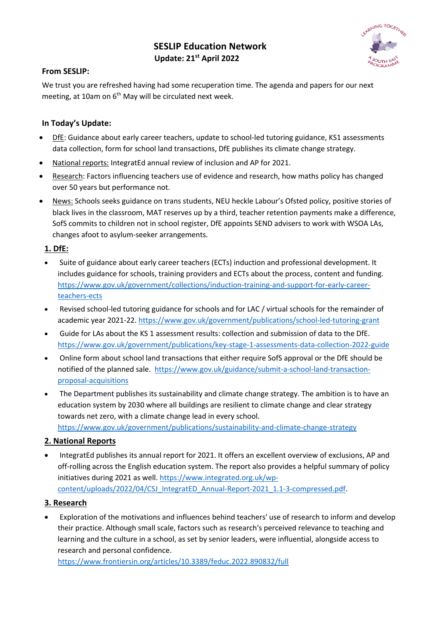# **SESLIP Education Network Update: 21st April 2022**



## **From SESLIP:**

We trust you are refreshed having had some recuperation time. The agenda and papers for our next meeting, at 10am on  $6<sup>th</sup>$  May will be circulated next week.

## **In Today's Update:**

- DfE: Guidance about early career teachers, update to school-led tutoring guidance, KS1 assessments data collection, form for school land transactions, DfE publishes its climate change strategy.
- National reports: IntegratEd annual review of inclusion and AP for 2021.
- Research: Factors influencing teachers use of evidence and research, how maths policy has changed over 50 years but performance not.
- News: Schools seeks guidance on trans students, NEU heckle Labour's Ofsted policy, positive stories of black lives in the classroom, MAT reserves up by a third, teacher retention payments make a difference, SofS commits to children not in school register, DfE appoints SEND advisers to work with WSOA LAs, changes afoot to asylum-seeker arrangements.

### **1. DfE:**

- Suite of guidance about early career teachers (ECTs) induction and professional development. It includes guidance for schools, training providers and ECTs about the process, content and funding. https://www.gov.uk/government/collections/induction-training-and-support-for-early-careerteachers-ects
- Revised school-led tutoring guidance for schools and for LAC / virtual schools for the remainder of academic year 2021-22. https://www.gov.uk/government/publications/school-led-tutoring-grant
- Guide for LAs about the KS 1 assessment results: collection and submission of data to the DfE. https://www.gov.uk/government/publications/key-stage-1-assessments-data-collection-2022-guide
- Online form about school land transactions that either require SofS approval or the DfE should be notified of the planned sale. https://www.gov.uk/guidance/submit-a-school-land-transactionproposal-acquisitions
- The Department publishes its sustainability and climate change strategy. The ambition is to have an education system by 2030 where all buildings are resilient to climate change and clear strategy towards net zero, with a climate change lead in every school.

https://www.gov.uk/government/publications/sustainability-and-climate-change-strategy

## **2. National Reports**

• IntegratEd publishes its annual report for 2021. It offers an excellent overview of exclusions, AP and off-rolling across the English education system. The report also provides a helpful summary of policy initiatives during 2021 as well. https://www.integrated.org.uk/wpcontent/uploads/2022/04/CSJ\_IntegratED\_Annual-Report-2021\_1.1-3-compressed.pdf.

#### **3. Research**

• Exploration of the motivations and influences behind teachers' use of research to inform and develop their practice. Although small scale, factors such as research's perceived relevance to teaching and learning and the culture in a school, as set by senior leaders, were influential, alongside access to research and personal confidence.

https://www.frontiersin.org/articles/10.3389/feduc.2022.890832/full